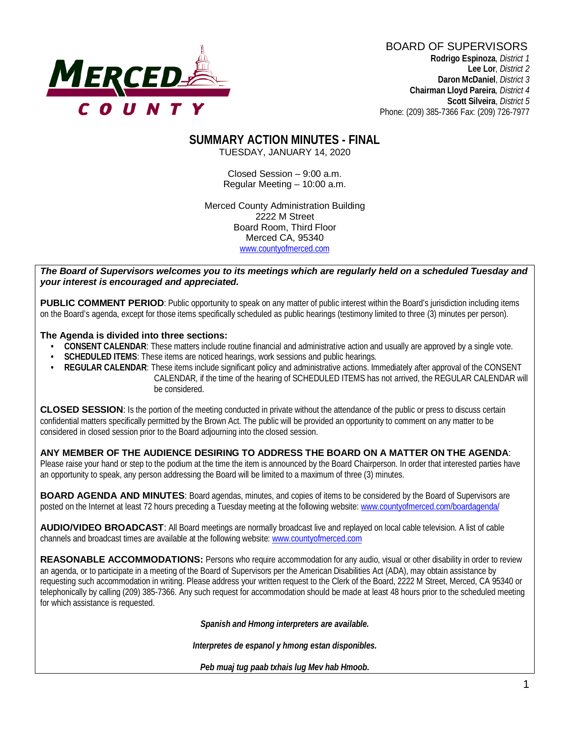# **MERCED-**

#### BOARD OF SUPERVISORS

 **Rodrigo Espinoza**, *District 1*  **Lee Lor**, *District 2*  **Daron McDaniel**, *District 3* **Chairman Lloyd Pareira***, District 4*  **Scott Silveira**, *District 5* Phone: (209) 385-7366 Fax: (209) 726-7977

#### **SUMMARY ACTION MINUTES - FINAL** TUESDAY, JANUARY 14, 2020

Closed Session – 9:00 a.m. Regular Meeting – 10:00 a.m.

Merced County Administration Building 2222 M Street Board Room, Third Floor Merced CA, 95340 www.countyofmerced.com

#### *The Board of Supervisors welcomes you to its meetings which are regularly held on a scheduled Tuesday and your interest is encouraged and appreciated.*

**PUBLIC COMMENT PERIOD:** Public opportunity to speak on any matter of public interest within the Board's jurisdiction including items on the Board's agenda, except for those items specifically scheduled as public hearings (testimony limited to three (3) minutes per person).

#### **The Agenda is divided into three sections:**

- **CONSENT CALENDAR**: These matters include routine financial and administrative action and usually are approved by a single vote.
- **SCHEDULED ITEMS:** These items are noticed hearings, work sessions and public hearings.
- **REGULAR CALENDAR**: These items include significant policy and administrative actions. Immediately after approval of the CONSENT CALENDAR, if the time of the hearing of SCHEDULED ITEMS has not arrived, the REGULAR CALENDAR will be considered.

**CLOSED SESSION**: Is the portion of the meeting conducted in private without the attendance of the public or press to discuss certain confidential matters specifically permitted by the Brown Act. The public will be provided an opportunity to comment on any matter to be considered in closed session prior to the Board adjourning into the closed session.

#### **ANY MEMBER OF THE AUDIENCE DESIRING TO ADDRESS THE BOARD ON A MATTER ON THE AGENDA**:

Please raise your hand or step to the podium at the time the item is announced by the Board Chairperson. In order that interested parties have an opportunity to speak, any person addressing the Board will be limited to a maximum of three (3) minutes.

**BOARD AGENDA AND MINUTES:** Board agendas, minutes, and copies of items to be considered by the Board of Supervisors are posted on the Internet at least 72 hours preceding a Tuesday meeting at the following website: [www.countyofmerced.com/boardagenda/](http://www.countyofmerced.com/boardagenda/) 

**AUDIO/VIDEO BROADCAST**: All Board meetings are normally broadcast live and replayed on local cable television. A list of cable channels and broadcast times are available at the following website[: www.countyofmerced.com](http://www.countyofmerced.com/)

**REASONABLE ACCOMMODATIONS:** Persons who require accommodation for any audio, visual or other disability in order to review an agenda, or to participate in a meeting of the Board of Supervisors per the American Disabilities Act (ADA), may obtain assistance by requesting such accommodation in writing. Please address your written request to the Clerk of the Board, 2222 M Street, Merced, CA 95340 or telephonically by calling (209) 385-7366. Any such request for accommodation should be made at least 48 hours prior to the scheduled meeting for which assistance is requested.

*Spanish and Hmong interpreters are available.*

*Interpretes de espanol y hmong estan disponibles.*

*Peb muaj tug paab txhais lug Mev hab Hmoob.*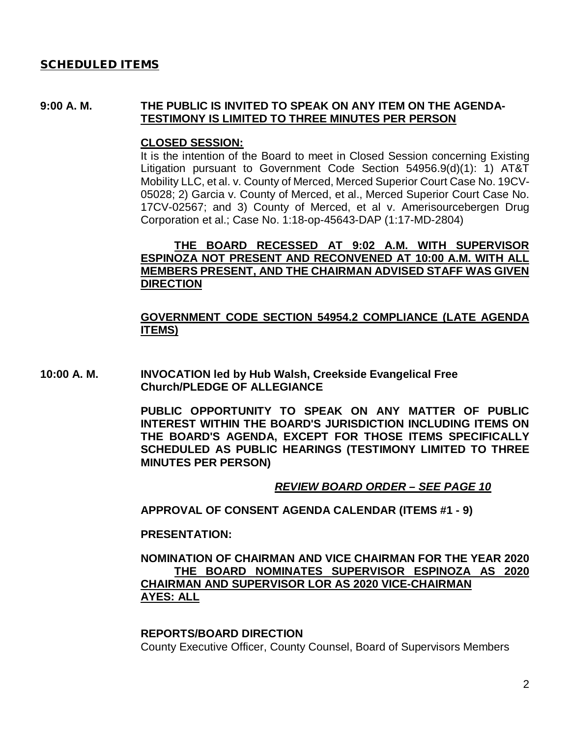#### SCHEDULED ITEMS

#### **9:00 A. M. THE PUBLIC IS INVITED TO SPEAK ON ANY ITEM ON THE AGENDA-TESTIMONY IS LIMITED TO THREE MINUTES PER PERSON**

#### **CLOSED SESSION:**

It is the intention of the Board to meet in Closed Session concerning Existing Litigation pursuant to Government Code Section 54956.9(d)(1): 1) AT&T Mobility LLC, et al. v. County of Merced, Merced Superior Court Case No. 19CV-05028; 2) Garcia v. County of Merced, et al., Merced Superior Court Case No. 17CV-02567; and 3) County of Merced, et al v. Amerisourcebergen Drug Corporation et al.; Case No. 1:18-op-45643-DAP (1:17-MD-2804)

#### **THE BOARD RECESSED AT 9:02 A.M. WITH SUPERVISOR ESPINOZA NOT PRESENT AND RECONVENED AT 10:00 A.M. WITH ALL MEMBERS PRESENT, AND THE CHAIRMAN ADVISED STAFF WAS GIVEN DIRECTION**

#### **GOVERNMENT CODE SECTION 54954.2 COMPLIANCE (LATE AGENDA ITEMS)**

**10:00 A. M. INVOCATION led by Hub Walsh, Creekside Evangelical Free Church/PLEDGE OF ALLEGIANCE**

> **PUBLIC OPPORTUNITY TO SPEAK ON ANY MATTER OF PUBLIC INTEREST WITHIN THE BOARD'S JURISDICTION INCLUDING ITEMS ON THE BOARD'S AGENDA, EXCEPT FOR THOSE ITEMS SPECIFICALLY SCHEDULED AS PUBLIC HEARINGS (TESTIMONY LIMITED TO THREE MINUTES PER PERSON)**

#### *REVIEW BOARD ORDER – SEE PAGE 10*

**APPROVAL OF CONSENT AGENDA CALENDAR (ITEMS #1 - 9)**

#### **PRESENTATION:**

#### **NOMINATION OF CHAIRMAN AND VICE CHAIRMAN FOR THE YEAR 2020 THE BOARD NOMINATES SUPERVISOR ESPINOZA AS 2020 CHAIRMAN AND SUPERVISOR LOR AS 2020 VICE-CHAIRMAN AYES: ALL**

#### **REPORTS/BOARD DIRECTION**

County Executive Officer, County Counsel, Board of Supervisors Members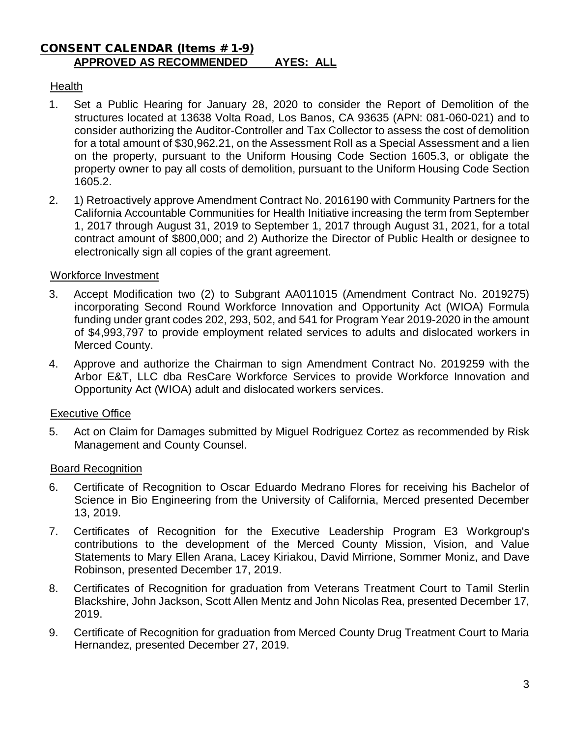#### CONSENT CALENDAR (Items # 1-9) **APPROVED AS RECOMMENDED AYES: ALL**

# **Health**

- 1. Set a Public Hearing for January 28, 2020 to consider the Report of Demolition of the structures located at 13638 Volta Road, Los Banos, CA 93635 (APN: 081-060-021) and to consider authorizing the Auditor-Controller and Tax Collector to assess the cost of demolition for a total amount of \$30,962.21, on the Assessment Roll as a Special Assessment and a lien on the property, pursuant to the Uniform Housing Code Section 1605.3, or obligate the property owner to pay all costs of demolition, pursuant to the Uniform Housing Code Section 1605.2.
- 2. 1) Retroactively approve Amendment Contract No. 2016190 with Community Partners for the California Accountable Communities for Health Initiative increasing the term from September 1, 2017 through August 31, 2019 to September 1, 2017 through August 31, 2021, for a total contract amount of \$800,000; and 2) Authorize the Director of Public Health or designee to electronically sign all copies of the grant agreement.

#### Workforce Investment

- 3. Accept Modification two (2) to Subgrant AA011015 (Amendment Contract No. 2019275) incorporating Second Round Workforce Innovation and Opportunity Act (WIOA) Formula funding under grant codes 202, 293, 502, and 541 for Program Year 2019-2020 in the amount of \$4,993,797 to provide employment related services to adults and dislocated workers in Merced County.
- 4. Approve and authorize the Chairman to sign Amendment Contract No. 2019259 with the Arbor E&T, LLC dba ResCare Workforce Services to provide Workforce Innovation and Opportunity Act (WIOA) adult and dislocated workers services.

# Executive Office

5. Act on Claim for Damages submitted by Miguel Rodriguez Cortez as recommended by Risk Management and County Counsel.

#### Board Recognition

- 6. Certificate of Recognition to Oscar Eduardo Medrano Flores for receiving his Bachelor of Science in Bio Engineering from the University of California, Merced presented December 13, 2019.
- 7. Certificates of Recognition for the Executive Leadership Program E3 Workgroup's contributions to the development of the Merced County Mission, Vision, and Value Statements to Mary Ellen Arana, Lacey Kiriakou, David Mirrione, Sommer Moniz, and Dave Robinson, presented December 17, 2019.
- 8. Certificates of Recognition for graduation from Veterans Treatment Court to Tamil Sterlin Blackshire, John Jackson, Scott Allen Mentz and John Nicolas Rea, presented December 17, 2019.
- 9. Certificate of Recognition for graduation from Merced County Drug Treatment Court to Maria Hernandez, presented December 27, 2019.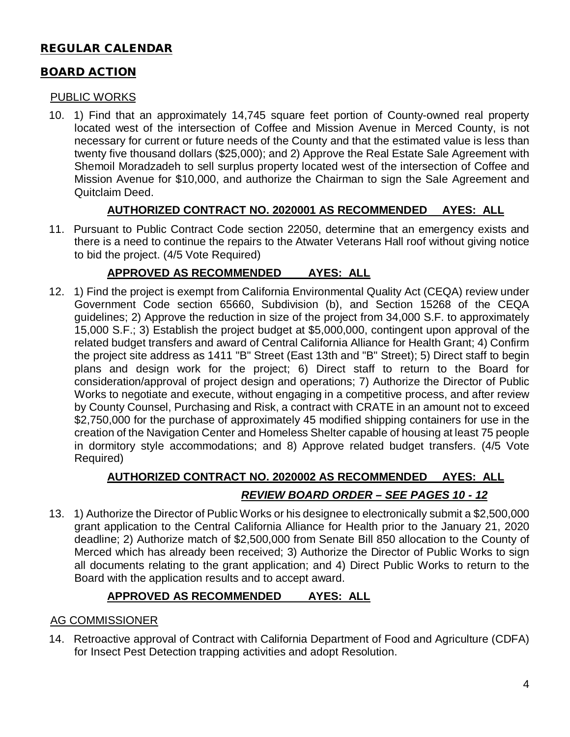# REGULAR CALENDAR

# BOARD ACTION

#### PUBLIC WORKS

10. 1) Find that an approximately 14,745 square feet portion of County-owned real property located west of the intersection of Coffee and Mission Avenue in Merced County, is not necessary for current or future needs of the County and that the estimated value is less than twenty five thousand dollars (\$25,000); and 2) Approve the Real Estate Sale Agreement with Shemoil Moradzadeh to sell surplus property located west of the intersection of Coffee and Mission Avenue for \$10,000, and authorize the Chairman to sign the Sale Agreement and Quitclaim Deed.

# **AUTHORIZED CONTRACT NO. 2020001 AS RECOMMENDED AYES: ALL**

11. Pursuant to Public Contract Code section 22050, determine that an emergency exists and there is a need to continue the repairs to the Atwater Veterans Hall roof without giving notice to bid the project. (4/5 Vote Required)

# **APPROVED AS RECOMMENDED AYES: ALL**

12. 1) Find the project is exempt from California Environmental Quality Act (CEQA) review under Government Code section 65660, Subdivision (b), and Section 15268 of the CEQA guidelines; 2) Approve the reduction in size of the project from 34,000 S.F. to approximately 15,000 S.F.; 3) Establish the project budget at \$5,000,000, contingent upon approval of the related budget transfers and award of Central California Alliance for Health Grant; 4) Confirm the project site address as 1411 "B" Street (East 13th and "B" Street); 5) Direct staff to begin plans and design work for the project; 6) Direct staff to return to the Board for consideration/approval of project design and operations; 7) Authorize the Director of Public Works to negotiate and execute, without engaging in a competitive process, and after review by County Counsel, Purchasing and Risk, a contract with CRATE in an amount not to exceed \$2,750,000 for the purchase of approximately 45 modified shipping containers for use in the creation of the Navigation Center and Homeless Shelter capable of housing at least 75 people in dormitory style accommodations; and 8) Approve related budget transfers. (4/5 Vote Required)

# **AUTHORIZED CONTRACT NO. 2020002 AS RECOMMENDED AYES: ALL** *REVIEW BOARD ORDER – SEE PAGES 10 - 12*

13. 1) Authorize the Director of Public Works or his designee to electronically submit a \$2,500,000 grant application to the Central California Alliance for Health prior to the January 21, 2020 deadline; 2) Authorize match of \$2,500,000 from Senate Bill 850 allocation to the County of Merced which has already been received; 3) Authorize the Director of Public Works to sign all documents relating to the grant application; and 4) Direct Public Works to return to the Board with the application results and to accept award.

# **APPROVED AS RECOMMENDED AYES: ALL**

# AG COMMISSIONER

14. Retroactive approval of Contract with California Department of Food and Agriculture (CDFA) for Insect Pest Detection trapping activities and adopt Resolution.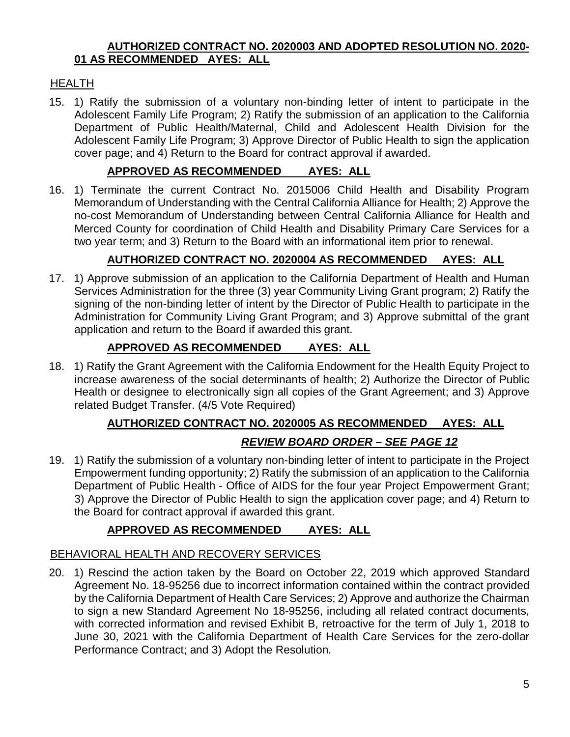#### **AUTHORIZED CONTRACT NO. 2020003 AND ADOPTED RESOLUTION NO. 2020- 01 AS RECOMMENDED AYES: ALL**

# HEALTH

15. 1) Ratify the submission of a voluntary non-binding letter of intent to participate in the Adolescent Family Life Program; 2) Ratify the submission of an application to the California Department of Public Health/Maternal, Child and Adolescent Health Division for the Adolescent Family Life Program; 3) Approve Director of Public Health to sign the application cover page; and 4) Return to the Board for contract approval if awarded.

# **APPROVED AS RECOMMENDED AYES: ALL**

16. 1) Terminate the current Contract No. 2015006 Child Health and Disability Program Memorandum of Understanding with the Central California Alliance for Health; 2) Approve the no-cost Memorandum of Understanding between Central California Alliance for Health and Merced County for coordination of Child Health and Disability Primary Care Services for a two year term; and 3) Return to the Board with an informational item prior to renewal.

# **AUTHORIZED CONTRACT NO. 2020004 AS RECOMMENDED AYES: ALL**

17. 1) Approve submission of an application to the California Department of Health and Human Services Administration for the three (3) year Community Living Grant program; 2) Ratify the signing of the non-binding letter of intent by the Director of Public Health to participate in the Administration for Community Living Grant Program; and 3) Approve submittal of the grant application and return to the Board if awarded this grant.

# **APPROVED AS RECOMMENDED AYES: ALL**

18. 1) Ratify the Grant Agreement with the California Endowment for the Health Equity Project to increase awareness of the social determinants of health; 2) Authorize the Director of Public Health or designee to electronically sign all copies of the Grant Agreement; and 3) Approve related Budget Transfer. (4/5 Vote Required)

# **AUTHORIZED CONTRACT NO. 2020005 AS RECOMMENDED AYES: ALL**

# *REVIEW BOARD ORDER – SEE PAGE 12*

19. 1) Ratify the submission of a voluntary non-binding letter of intent to participate in the Project Empowerment funding opportunity; 2) Ratify the submission of an application to the California Department of Public Health - Office of AIDS for the four year Project Empowerment Grant; 3) Approve the Director of Public Health to sign the application cover page; and 4) Return to the Board for contract approval if awarded this grant.

# **APPROVED AS RECOMMENDED AYES: ALL**

# BEHAVIORAL HEALTH AND RECOVERY SERVICES

20. 1) Rescind the action taken by the Board on October 22, 2019 which approved Standard Agreement No. 18-95256 due to incorrect information contained within the contract provided by the California Department of Health Care Services; 2) Approve and authorize the Chairman to sign a new Standard Agreement No 18-95256, including all related contract documents, with corrected information and revised Exhibit B, retroactive for the term of July 1, 2018 to June 30, 2021 with the California Department of Health Care Services for the zero-dollar Performance Contract; and 3) Adopt the Resolution.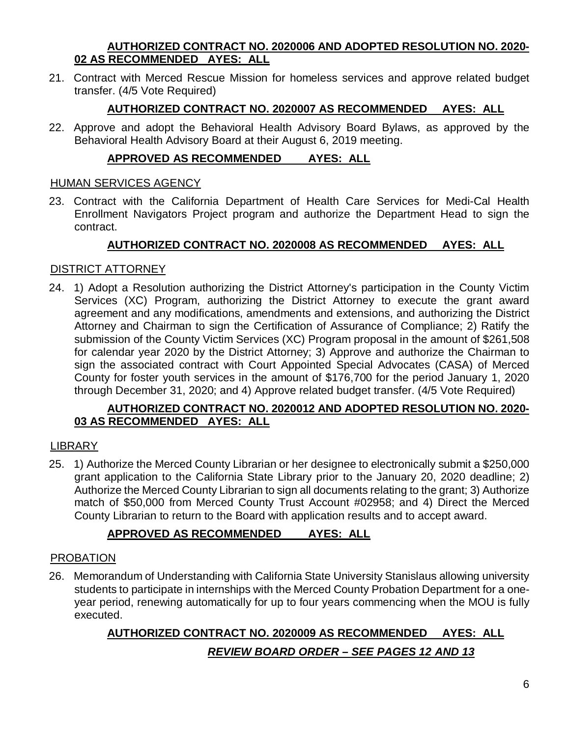#### **AUTHORIZED CONTRACT NO. 2020006 AND ADOPTED RESOLUTION NO. 2020- 02 AS RECOMMENDED AYES: ALL**

21. Contract with Merced Rescue Mission for homeless services and approve related budget transfer. (4/5 Vote Required)

# **AUTHORIZED CONTRACT NO. 2020007 AS RECOMMENDED AYES: ALL**

22. Approve and adopt the Behavioral Health Advisory Board Bylaws, as approved by the Behavioral Health Advisory Board at their August 6, 2019 meeting.

# **APPROVED AS RECOMMENDED AYES: ALL**

#### HUMAN SERVICES AGENCY

23. Contract with the California Department of Health Care Services for Medi-Cal Health Enrollment Navigators Project program and authorize the Department Head to sign the contract.

# **AUTHORIZED CONTRACT NO. 2020008 AS RECOMMENDED AYES: ALL**

#### DISTRICT ATTORNEY

24. 1) Adopt a Resolution authorizing the District Attorney's participation in the County Victim Services (XC) Program, authorizing the District Attorney to execute the grant award agreement and any modifications, amendments and extensions, and authorizing the District Attorney and Chairman to sign the Certification of Assurance of Compliance; 2) Ratify the submission of the County Victim Services (XC) Program proposal in the amount of \$261,508 for calendar year 2020 by the District Attorney; 3) Approve and authorize the Chairman to sign the associated contract with Court Appointed Special Advocates (CASA) of Merced County for foster youth services in the amount of \$176,700 for the period January 1, 2020 through December 31, 2020; and 4) Approve related budget transfer. (4/5 Vote Required)

# **AUTHORIZED CONTRACT NO. 2020012 AND ADOPTED RESOLUTION NO. 2020- 03 AS RECOMMENDED AYES: ALL**

# LIBRARY

25. 1) Authorize the Merced County Librarian or her designee to electronically submit a \$250,000 grant application to the California State Library prior to the January 20, 2020 deadline; 2) Authorize the Merced County Librarian to sign all documents relating to the grant; 3) Authorize match of \$50,000 from Merced County Trust Account #02958; and 4) Direct the Merced County Librarian to return to the Board with application results and to accept award.

# **APPROVED AS RECOMMENDED AYES: ALL**

#### PROBATION

26. Memorandum of Understanding with California State University Stanislaus allowing university students to participate in internships with the Merced County Probation Department for a oneyear period, renewing automatically for up to four years commencing when the MOU is fully executed.

# **AUTHORIZED CONTRACT NO. 2020009 AS RECOMMENDED AYES: ALL** *REVIEW BOARD ORDER – SEE PAGES 12 AND 13*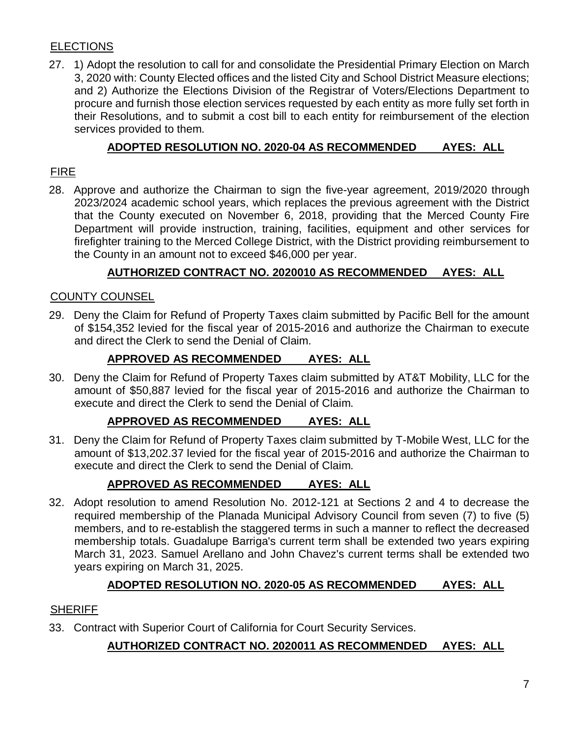# **ELECTIONS**

27. 1) Adopt the resolution to call for and consolidate the Presidential Primary Election on March 3, 2020 with: County Elected offices and the listed City and School District Measure elections; and 2) Authorize the Elections Division of the Registrar of Voters/Elections Department to procure and furnish those election services requested by each entity as more fully set forth in their Resolutions, and to submit a cost bill to each entity for reimbursement of the election services provided to them.

# **ADOPTED RESOLUTION NO. 2020-04 AS RECOMMENDED AYES: ALL**

# FIRE

28. Approve and authorize the Chairman to sign the five-year agreement, 2019/2020 through 2023/2024 academic school years, which replaces the previous agreement with the District that the County executed on November 6, 2018, providing that the Merced County Fire Department will provide instruction, training, facilities, equipment and other services for firefighter training to the Merced College District, with the District providing reimbursement to the County in an amount not to exceed \$46,000 per year.

# **AUTHORIZED CONTRACT NO. 2020010 AS RECOMMENDED AYES: ALL**

# COUNTY COUNSEL

29. Deny the Claim for Refund of Property Taxes claim submitted by Pacific Bell for the amount of \$154,352 levied for the fiscal year of 2015-2016 and authorize the Chairman to execute and direct the Clerk to send the Denial of Claim.

# **APPROVED AS RECOMMENDED AYES: ALL**

30. Deny the Claim for Refund of Property Taxes claim submitted by AT&T Mobility, LLC for the amount of \$50,887 levied for the fiscal year of 2015-2016 and authorize the Chairman to execute and direct the Clerk to send the Denial of Claim.

# **APPROVED AS RECOMMENDED AYES: ALL**

31. Deny the Claim for Refund of Property Taxes claim submitted by T-Mobile West, LLC for the amount of \$13,202.37 levied for the fiscal year of 2015-2016 and authorize the Chairman to execute and direct the Clerk to send the Denial of Claim.

# **APPROVED AS RECOMMENDED AYES: ALL**

32. Adopt resolution to amend Resolution No. 2012-121 at Sections 2 and 4 to decrease the required membership of the Planada Municipal Advisory Council from seven (7) to five (5) members, and to re-establish the staggered terms in such a manner to reflect the decreased membership totals. Guadalupe Barriga's current term shall be extended two years expiring March 31, 2023. Samuel Arellano and John Chavez's current terms shall be extended two years expiring on March 31, 2025.

# **ADOPTED RESOLUTION NO. 2020-05 AS RECOMMENDED AYES: ALL**

# **SHERIFF**

33. Contract with Superior Court of California for Court Security Services.

# **AUTHORIZED CONTRACT NO. 2020011 AS RECOMMENDED AYES: ALL**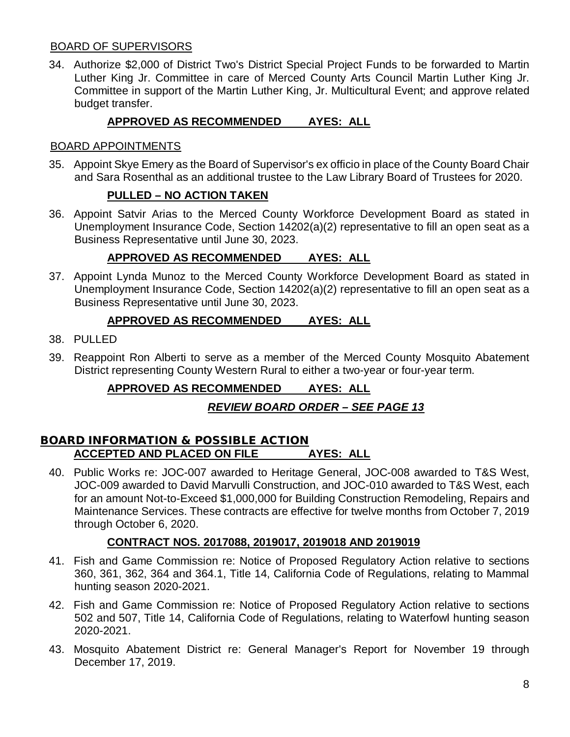#### BOARD OF SUPERVISORS

34. Authorize \$2,000 of District Two's District Special Project Funds to be forwarded to Martin Luther King Jr. Committee in care of Merced County Arts Council Martin Luther King Jr. Committee in support of the Martin Luther King, Jr. Multicultural Event; and approve related budget transfer.

# **APPROVED AS RECOMMENDED AYES: ALL**

#### BOARD APPOINTMENTS

35. Appoint Skye Emery as the Board of Supervisor's ex officio in place of the County Board Chair and Sara Rosenthal as an additional trustee to the Law Library Board of Trustees for 2020.

#### **PULLED – NO ACTION TAKEN**

36. Appoint Satvir Arias to the Merced County Workforce Development Board as stated in Unemployment Insurance Code, Section 14202(a)(2) representative to fill an open seat as a Business Representative until June 30, 2023.

#### **APPROVED AS RECOMMENDED AYES: ALL**

37. Appoint Lynda Munoz to the Merced County Workforce Development Board as stated in Unemployment Insurance Code, Section 14202(a)(2) representative to fill an open seat as a Business Representative until June 30, 2023.

#### **APPROVED AS RECOMMENDED AYES: ALL**

- 38. PULLED
- 39. Reappoint Ron Alberti to serve as a member of the Merced County Mosquito Abatement District representing County Western Rural to either a two-year or four-year term.

# **APPROVED AS RECOMMENDED AYES: ALL**

# *REVIEW BOARD ORDER – SEE PAGE 13*

#### **BOARD INFORMATION & POSSIBLE ACTION ACCEPTED AND PLACED ON FILE AYES: ALL**

40. Public Works re: JOC-007 awarded to Heritage General, JOC-008 awarded to T&S West, JOC-009 awarded to David Marvulli Construction, and JOC-010 awarded to T&S West, each for an amount Not-to-Exceed \$1,000,000 for Building Construction Remodeling, Repairs and Maintenance Services. These contracts are effective for twelve months from October 7, 2019 through October 6, 2020.

#### **CONTRACT NOS. 2017088, 2019017, 2019018 AND 2019019**

- 41. Fish and Game Commission re: Notice of Proposed Regulatory Action relative to sections 360, 361, 362, 364 and 364.1, Title 14, California Code of Regulations, relating to Mammal hunting season 2020-2021.
- 42. Fish and Game Commission re: Notice of Proposed Regulatory Action relative to sections 502 and 507, Title 14, California Code of Regulations, relating to Waterfowl hunting season 2020-2021.
- 43. Mosquito Abatement District re: General Manager's Report for November 19 through December 17, 2019.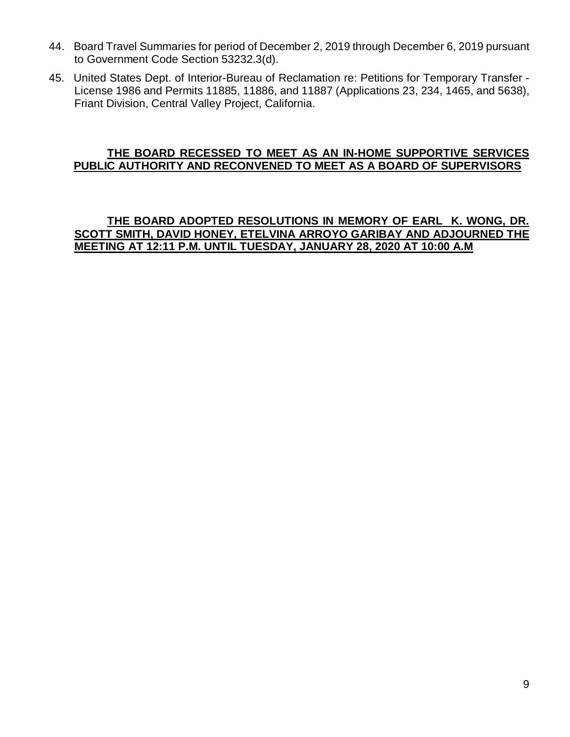- 44. Board Travel Summaries for period of December 2, 2019 through December 6, 2019 pursuant to Government Code Section 53232.3(d).
- 45. United States Dept. of Interior-Bureau of Reclamation re: Petitions for Temporary Transfer License 1986 and Permits 11885, 11886, and 11887 (Applications 23, 234, 1465, and 5638), Friant Division, Central Valley Project, California.

#### **THE BOARD RECESSED TO MEET AS AN IN-HOME SUPPORTIVE SERVICES PUBLIC AUTHORITY AND RECONVENED TO MEET AS A BOARD OF SUPERVISORS**

#### **THE BOARD ADOPTED RESOLUTIONS IN MEMORY OF EARL K. WONG, DR. SCOTT SMITH, DAVID HONEY, ETELVINA ARROYO GARIBAY AND ADJOURNED THE MEETING AT 12:11 P.M. UNTIL TUESDAY, JANUARY 28, 2020 AT 10:00 A.M**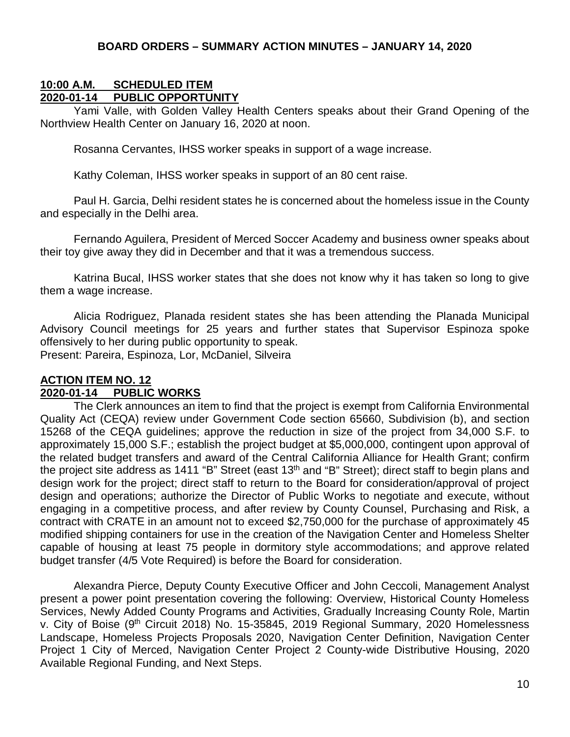#### **10:00 A.M. SCHEDULED ITEM 2020-01-14 PUBLIC OPPORTUNITY**

Yami Valle, with Golden Valley Health Centers speaks about their Grand Opening of the Northview Health Center on January 16, 2020 at noon.

Rosanna Cervantes, IHSS worker speaks in support of a wage increase.

Kathy Coleman, IHSS worker speaks in support of an 80 cent raise.

Paul H. Garcia, Delhi resident states he is concerned about the homeless issue in the County and especially in the Delhi area.

Fernando Aguilera, President of Merced Soccer Academy and business owner speaks about their toy give away they did in December and that it was a tremendous success.

Katrina Bucal, IHSS worker states that she does not know why it has taken so long to give them a wage increase.

Alicia Rodriguez, Planada resident states she has been attending the Planada Municipal Advisory Council meetings for 25 years and further states that Supervisor Espinoza spoke offensively to her during public opportunity to speak.

Present: Pareira, Espinoza, Lor, McDaniel, Silveira

#### **ACTION ITEM NO. 12 2020-01-14 PUBLIC WORKS**

The Clerk announces an item to find that the project is exempt from California Environmental Quality Act (CEQA) review under Government Code section 65660, Subdivision (b), and section 15268 of the CEQA guidelines; approve the reduction in size of the project from 34,000 S.F. to approximately 15,000 S.F.; establish the project budget at \$5,000,000, contingent upon approval of the related budget transfers and award of the Central California Alliance for Health Grant; confirm the project site address as 1411 "B" Street (east 13<sup>th</sup> and "B" Street); direct staff to begin plans and design work for the project; direct staff to return to the Board for consideration/approval of project design and operations; authorize the Director of Public Works to negotiate and execute, without engaging in a competitive process, and after review by County Counsel, Purchasing and Risk, a contract with CRATE in an amount not to exceed \$2,750,000 for the purchase of approximately 45 modified shipping containers for use in the creation of the Navigation Center and Homeless Shelter capable of housing at least 75 people in dormitory style accommodations; and approve related budget transfer (4/5 Vote Required) is before the Board for consideration.

Alexandra Pierce, Deputy County Executive Officer and John Ceccoli, Management Analyst present a power point presentation covering the following: Overview, Historical County Homeless Services, Newly Added County Programs and Activities, Gradually Increasing County Role, Martin v. City of Boise (9<sup>th</sup> Circuit 2018) No. 15-35845, 2019 Regional Summary, 2020 Homelessness Landscape, Homeless Projects Proposals 2020, Navigation Center Definition, Navigation Center Project 1 City of Merced, Navigation Center Project 2 County-wide Distributive Housing, 2020 Available Regional Funding, and Next Steps.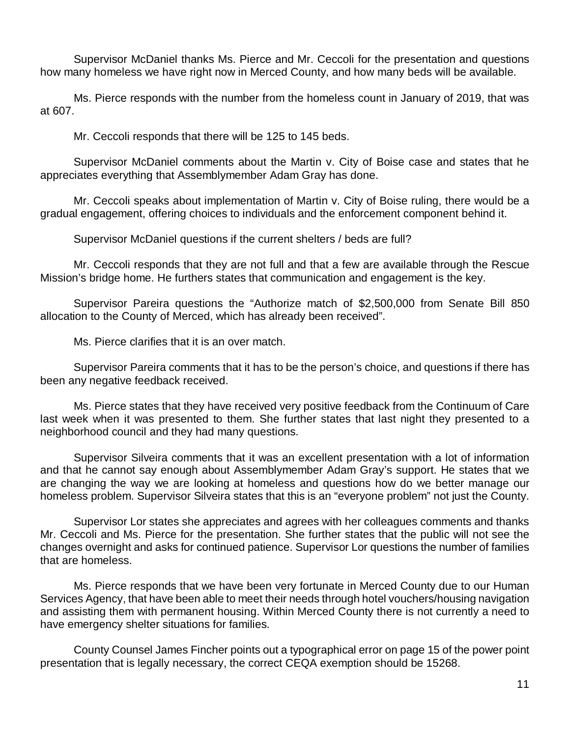Supervisor McDaniel thanks Ms. Pierce and Mr. Ceccoli for the presentation and questions how many homeless we have right now in Merced County, and how many beds will be available.

Ms. Pierce responds with the number from the homeless count in January of 2019, that was at 607.

Mr. Ceccoli responds that there will be 125 to 145 beds.

Supervisor McDaniel comments about the Martin v. City of Boise case and states that he appreciates everything that Assemblymember Adam Gray has done.

Mr. Ceccoli speaks about implementation of Martin v. City of Boise ruling, there would be a gradual engagement, offering choices to individuals and the enforcement component behind it.

Supervisor McDaniel questions if the current shelters / beds are full?

Mr. Ceccoli responds that they are not full and that a few are available through the Rescue Mission's bridge home. He furthers states that communication and engagement is the key.

Supervisor Pareira questions the "Authorize match of \$2,500,000 from Senate Bill 850 allocation to the County of Merced, which has already been received".

Ms. Pierce clarifies that it is an over match.

Supervisor Pareira comments that it has to be the person's choice, and questions if there has been any negative feedback received.

Ms. Pierce states that they have received very positive feedback from the Continuum of Care last week when it was presented to them. She further states that last night they presented to a neighborhood council and they had many questions.

Supervisor Silveira comments that it was an excellent presentation with a lot of information and that he cannot say enough about Assemblymember Adam Gray's support. He states that we are changing the way we are looking at homeless and questions how do we better manage our homeless problem. Supervisor Silveira states that this is an "everyone problem" not just the County.

Supervisor Lor states she appreciates and agrees with her colleagues comments and thanks Mr. Ceccoli and Ms. Pierce for the presentation. She further states that the public will not see the changes overnight and asks for continued patience. Supervisor Lor questions the number of families that are homeless.

Ms. Pierce responds that we have been very fortunate in Merced County due to our Human Services Agency, that have been able to meet their needs through hotel vouchers/housing navigation and assisting them with permanent housing. Within Merced County there is not currently a need to have emergency shelter situations for families.

County Counsel James Fincher points out a typographical error on page 15 of the power point presentation that is legally necessary, the correct CEQA exemption should be 15268.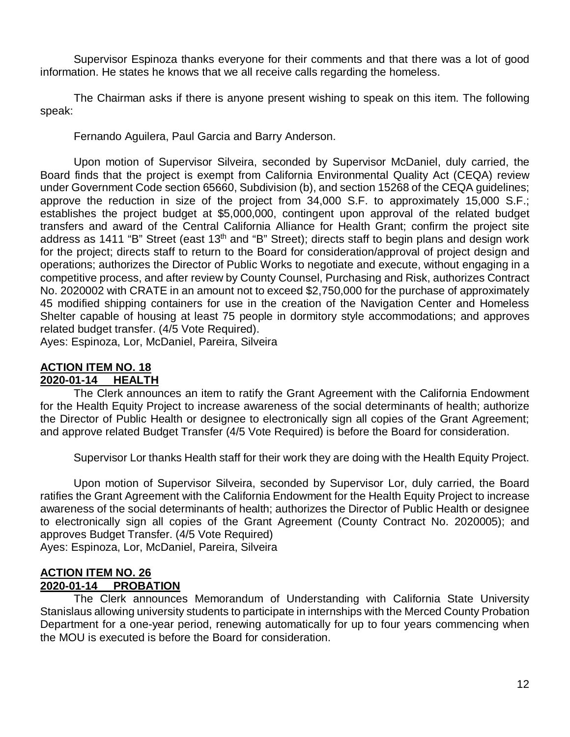Supervisor Espinoza thanks everyone for their comments and that there was a lot of good information. He states he knows that we all receive calls regarding the homeless.

The Chairman asks if there is anyone present wishing to speak on this item. The following speak:

Fernando Aguilera, Paul Garcia and Barry Anderson.

Upon motion of Supervisor Silveira, seconded by Supervisor McDaniel, duly carried, the Board finds that the project is exempt from California Environmental Quality Act (CEQA) review under Government Code section 65660, Subdivision (b), and section 15268 of the CEQA guidelines; approve the reduction in size of the project from 34,000 S.F. to approximately 15,000 S.F.; establishes the project budget at \$5,000,000, contingent upon approval of the related budget transfers and award of the Central California Alliance for Health Grant; confirm the project site address as 1411 "B" Street (east 13<sup>th</sup> and "B" Street); directs staff to begin plans and design work for the project; directs staff to return to the Board for consideration/approval of project design and operations; authorizes the Director of Public Works to negotiate and execute, without engaging in a competitive process, and after review by County Counsel, Purchasing and Risk, authorizes Contract No. 2020002 with CRATE in an amount not to exceed \$2,750,000 for the purchase of approximately 45 modified shipping containers for use in the creation of the Navigation Center and Homeless Shelter capable of housing at least 75 people in dormitory style accommodations; and approves related budget transfer. (4/5 Vote Required).

Ayes: Espinoza, Lor, McDaniel, Pareira, Silveira

#### **ACTION ITEM NO. 18 2020-01-14 HEALTH**

The Clerk announces an item to ratify the Grant Agreement with the California Endowment for the Health Equity Project to increase awareness of the social determinants of health; authorize the Director of Public Health or designee to electronically sign all copies of the Grant Agreement; and approve related Budget Transfer (4/5 Vote Required) is before the Board for consideration.

Supervisor Lor thanks Health staff for their work they are doing with the Health Equity Project.

Upon motion of Supervisor Silveira, seconded by Supervisor Lor, duly carried, the Board ratifies the Grant Agreement with the California Endowment for the Health Equity Project to increase awareness of the social determinants of health; authorizes the Director of Public Health or designee to electronically sign all copies of the Grant Agreement (County Contract No. 2020005); and approves Budget Transfer. (4/5 Vote Required)

Ayes: Espinoza, Lor, McDaniel, Pareira, Silveira

#### **ACTION ITEM NO. 26 2020-01-14 PROBATION**

The Clerk announces Memorandum of Understanding with California State University Stanislaus allowing university students to participate in internships with the Merced County Probation Department for a one-year period, renewing automatically for up to four years commencing when the MOU is executed is before the Board for consideration.